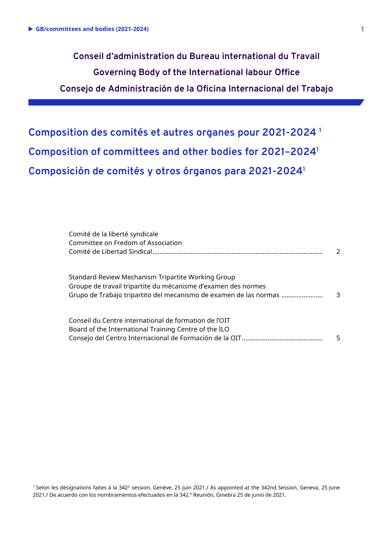**Conseil d'administration du Bureau international du Travail Governing Body of the International labour Office Consejo de Administración de la Oficina Internacional del Trabajo**

**Composition des comités et autres organes pour 2021-2024 <sup>1</sup> Composition of committees and other bodies for 2021–2024<sup>1</sup> Composición de comités y otros órganos para 2021-2024<sup>1</sup>**

| $\mathcal{L}$ |
|---------------|
|               |
|               |
|               |
|               |
|               |
| 3             |
|               |
|               |
|               |
| 5             |
|               |

 $^1$  Selon les désignations faites à la 342 $^{\rm e}$  session, Genève, 25 juin 2021./ As appointed at the 342nd Session, Geneva, 25 June 2021./ De acuerdo con los nombramientos efectuados en la 342.ª Reunión, Ginebra 25 de junio de 2021.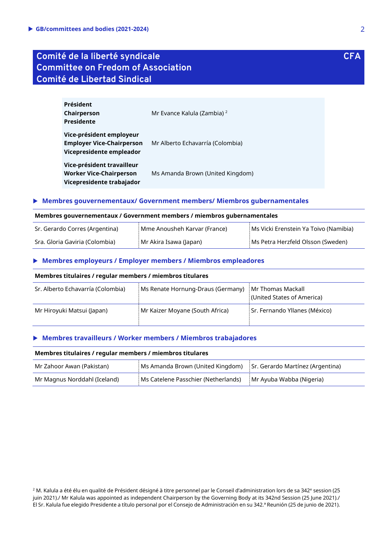# <span id="page-1-0"></span>**Comité de la liberté syndicale Committee on Fredom of Association Comité de Libertad Sindical**

| Président<br>Chairperson<br><b>Presidente</b>                                             | Mr Evance Kalula (Zambia) <sup>2</sup> |
|-------------------------------------------------------------------------------------------|----------------------------------------|
| Vice-président employeur<br><b>Employer Vice-Chairperson</b><br>Vicepresidente empleador  | Mr Alberto Echavarría (Colombia)       |
| Vice-président travailleur<br><b>Worker Vice-Chairperson</b><br>Vicepresidente trabajador | Ms Amanda Brown (United Kingdom)       |

#### **Membres gouvernementaux/ Government members/ Miembros gubernamentales**

#### **Membres gouvernementaux / Government members / miembros gubernamentales**

| Sr. Gerardo Corres (Argentina) | Mme Anousheh Karvar (France) | Ms Vicki Erenstein Ya Toivo (Namibia) |
|--------------------------------|------------------------------|---------------------------------------|
| Sra. Gloria Gaviria (Colombia) | Mr Akira Isawa (Japan)       | Ms Petra Herzfeld Olsson (Sweden)     |

#### **Membres employeurs / Employer members / Miembros empleadores**

#### **Membres titulaires / regular members / miembros titulares**

| Sr. Alberto Echavarría (Colombia) | Ms Renate Hornung-Draus (Germany) | Mr Thomas Mackall<br>(United States of America) |
|-----------------------------------|-----------------------------------|-------------------------------------------------|
| Mr Hiroyuki Matsui (Japan)        | Mr Kaizer Moyane (South Africa)   | Sr. Fernando Yllanes (México)                   |

### **Membres travailleurs / Worker members / Miembros trabajadores**

# **Membres titulaires / regular members / miembros titulares**

| Mr Zahoor Awan (Pakistan)    | Ms Amanda Brown (United Kingdom)    | $\mathsf{S}$ r. Gerardo Martínez (Argentina) |
|------------------------------|-------------------------------------|----------------------------------------------|
| Mr Magnus Norddahl (Iceland) | Ms Catelene Passchier (Netherlands) | Mr Ayuba Wabba (Nigeria)                     |

**CFA**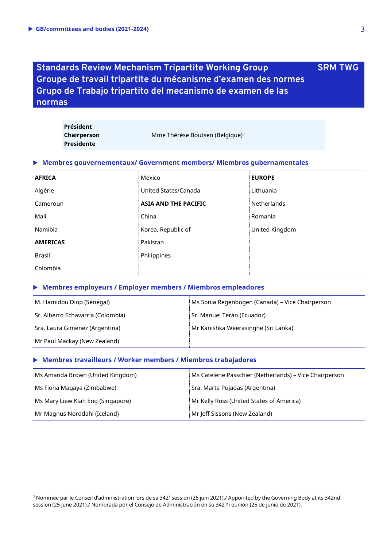# <span id="page-2-0"></span>**Standards Review Mechanism Tripartite Working Group Groupe de travail tripartite du mécanisme d'examen des normes Grupo de Trabajo tripartito del mecanismo de examen de las normas SRM TWG**

| Président   |                                             |
|-------------|---------------------------------------------|
| Chairperson | Mme Thérèse Boutsen (Belgique) <sup>3</sup> |
| Presidente  |                                             |

### **Membres gouvernementaux/ Government members/ Miembros gubernamentales**

| <b>AFRICA</b>   | México                      | <b>EUROPE</b>  |
|-----------------|-----------------------------|----------------|
| Algérie         | United States/Canada        | Lithuania      |
| Cameroun        | <b>ASIA AND THE PACIFIC</b> | Netherlands    |
| Mali            | China                       | Romania        |
| Namibia         | Korea, Republic of          | United Kingdom |
| <b>AMERICAS</b> | Pakistan                    |                |
| <b>Brasil</b>   | Philippines                 |                |
| Colombia        |                             |                |

### **Membres employeurs / Employer members / Miembros empleadores**

| M. Hamidou Diop (Sénégal)         | Ms Sonia Regenbogen (Canada) – Vice Chairperson |
|-----------------------------------|-------------------------------------------------|
| Sr. Alberto Echavarría (Colombia) | Sr. Manuel Terán (Ecuador)                      |
| Sra. Laura Gimenez (Argentina)    | Mr Kanishka Weerasinghe (Sri Lanka)             |
| Mr Paul Mackay (New Zealand)      |                                                 |

# **Membres travailleurs / Worker members / Miembros trabajadores**

| Ms Amanda Brown (United Kingdom)  | Ms Catelene Passchier (Netherlands) – Vice Chairperson |
|-----------------------------------|--------------------------------------------------------|
| Ms Fiona Magaya (Zimbabwe)        | Sra. Marta Pujadas (Argentina)                         |
| Ms Mary Liew Kiah Eng (Singapore) | Mr Kelly Ross (United States of America)               |
| Mr Magnus Norddahl (Iceland)      | Mr Jeff Sissons (New Zealand)                          |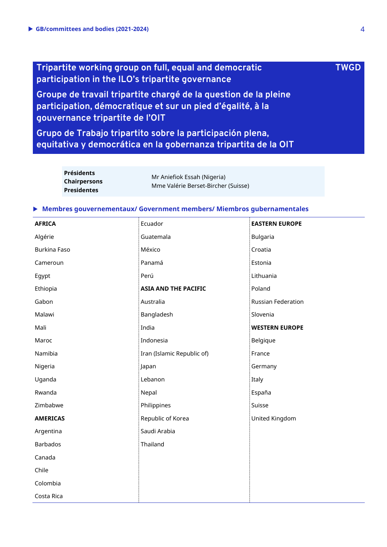**Tripartite working group on full, equal and democratic participation in the ILO's tripartite governance**

**Groupe de travail tripartite chargé de la question de la pleine participation, démocratique et sur un pied d'égalité, à la gouvernance tripartite de l'OIT**

**Grupo de Trabajo tripartito sobre la participación plena, equitativa y democrática en la gobernanza tripartita de la OIT**

| <b>Présidents</b>   | Mr Aniefiok Essah (Nigeria)         |
|---------------------|-------------------------------------|
| <b>Chairpersons</b> | Mme Valérie Berset-Bircher (Suisse) |
| <b>Presidentes</b>  |                                     |

### **Membres gouvernementaux/ Government members/ Miembros gubernamentales**

| <b>AFRICA</b>       | Ecuador                     | <b>EASTERN EUROPE</b>     |
|---------------------|-----------------------------|---------------------------|
| Algérie             | Guatemala                   | <b>Bulgaria</b>           |
| <b>Burkina Faso</b> | México                      | Croatia                   |
| Cameroun            | Panamá                      | Estonia                   |
| Egypt               | Perú                        | Lithuania                 |
| Ethiopia            | <b>ASIA AND THE PACIFIC</b> | Poland                    |
| Gabon               | Australia                   | <b>Russian Federation</b> |
| Malawi              | Bangladesh                  | Slovenia                  |
| Mali                | India                       | <b>WESTERN EUROPE</b>     |
| Maroc               | Indonesia                   | Belgique                  |
| Namibia             | Iran (Islamic Republic of)  | France                    |
| Nigeria             | Japan                       | Germany                   |
| Uganda              | Lebanon                     | Italy                     |
| Rwanda              | Nepal                       | España                    |
| Zimbabwe            | Philippines                 | Suisse                    |
| <b>AMERICAS</b>     | Republic of Korea           | United Kingdom            |
| Argentina           | Saudi Arabia                |                           |
| <b>Barbados</b>     | Thailand                    |                           |
| Canada              |                             |                           |
| Chile               |                             |                           |
| Colombia            |                             |                           |
| Costa Rica          |                             |                           |

**TWGD**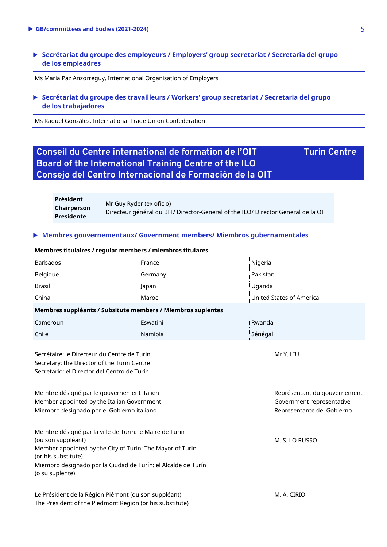**Secrétariat du groupe des employeurs / Employers' group secretariat / Secretaria del grupo de los empleadres**

Ms Maria Paz Anzorreguy, International Organisation of Employers

 **Secrétariat du groupe des travailleurs / Workers' group secretariat / Secretaria del grupo de los trabajadores**

Ms Raquel González, International Trade Union Confederation

The President of the Piedmont Region (or his substitute)

# <span id="page-4-2"></span><span id="page-4-1"></span><span id="page-4-0"></span>**Conseil du Centre international de formation de l'OIT Board of the International Training Centre of the ILO Consejo del Centro Internacional de Formación de la OIT**

**Turin Centre**

**Président Chairperson Presidente** Mr Guy Ryder (ex oficio) Directeur général du BIT/ Director-General of the ILO/ Director General de la OIT

#### **Membres gouvernementaux/ Government members/ Miembros gubernamentales**

| Membres titulaires / regular members / miembros titulares                                                                                                                                                                                             |                                                             |                                                                                         |
|-------------------------------------------------------------------------------------------------------------------------------------------------------------------------------------------------------------------------------------------------------|-------------------------------------------------------------|-----------------------------------------------------------------------------------------|
| <b>Barbados</b>                                                                                                                                                                                                                                       | France                                                      | Nigeria                                                                                 |
| Belgique                                                                                                                                                                                                                                              | Germany                                                     | Pakistan                                                                                |
| <b>Brasil</b>                                                                                                                                                                                                                                         | Japan                                                       | Uganda                                                                                  |
| China                                                                                                                                                                                                                                                 | Maroc                                                       | United States of America                                                                |
|                                                                                                                                                                                                                                                       | Membres suppléants / Subsitute members / Miembros suplentes |                                                                                         |
| Cameroun                                                                                                                                                                                                                                              | Eswatini                                                    | Rwanda                                                                                  |
| Chile                                                                                                                                                                                                                                                 | Namibia                                                     | Sénégal                                                                                 |
| Secretary: the Director of the Turin Centre<br>Secretario: el Director del Centro de Turín<br>Membre désigné par le gouvernement italien<br>Member appointed by the Italian Government<br>Miembro designado por el Gobierno italiano                  |                                                             | Représentant du gouvernement<br>Government representative<br>Representante del Gobierno |
| Membre désigné par la ville de Turin: le Maire de Turin<br>(ou son suppléant)<br>Member appointed by the City of Turin: The Mayor of Turin<br>(or his substitute)<br>Miembro designado por la Ciudad de Turín: el Alcalde de Turín<br>(o su suplente) |                                                             | M. S. LO RUSSO                                                                          |
| Le Président de la Région Piémont (ou son suppléant)                                                                                                                                                                                                  |                                                             | M. A. CIRIO                                                                             |